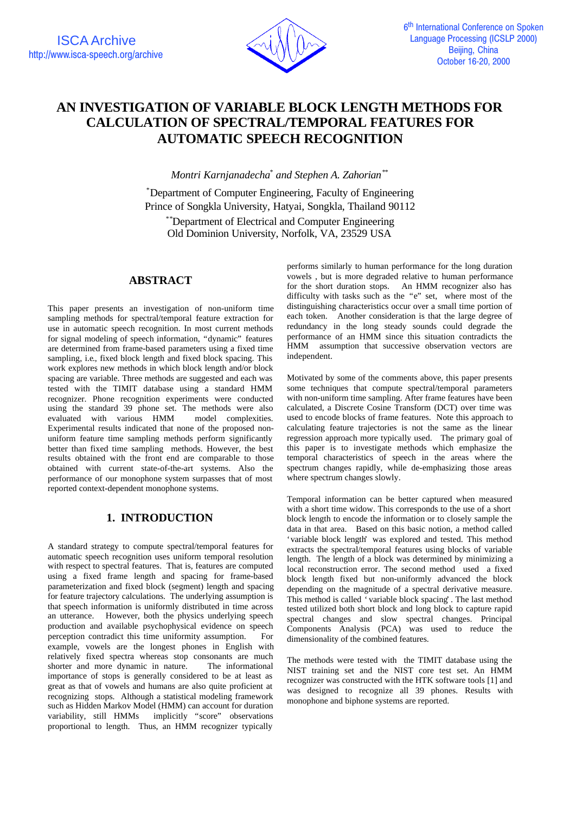

# **AN INVESTIGATION OF VARIABLE BLOCK LENGTH METHODS FOR CALCULATION OF SPECTRAL/TEMPORAL FEATURES FOR AUTOMATIC SPEECH RECOGNITION**

*Montri Karnjanadecha\* and Stephen A. Zahorian\*\**

\*Department of Computer Engineering, Faculty of Engineering Prince of Songkla University, Hatyai, Songkla, Thailand 90112

\*\*Department of Electrical and Computer Engineering Old Dominion University, Norfolk, VA, 23529 USA

# **ABSTRACT**

This paper presents an investigation of non-uniform time sampling methods for spectral/temporal feature extraction for use in automatic speech recognition. In most current methods for signal modeling of speech information, "dynamic" features are determined from frame-based parameters using a fixed time sampling, i.e., fixed block length and fixed block spacing. This work explores new methods in which block length and/or block spacing are variable. Three methods are suggested and each was tested with the TIMIT database using a standard HMM recognizer. Phone recognition experiments were conducted using the standard 39 phone set. The methods were also evaluated with various HMM model complexities. Experimental results indicated that none of the proposed nonuniform feature time sampling methods perform significantly better than fixed time sampling methods. However, the best results obtained with the front end are comparable to those obtained with current state-of-the-art systems. Also the performance of our monophone system surpasses that of most reported context-dependent monophone systems.

# **1. INTRODUCTION**

A standard strategy to compute spectral/temporal features for automatic speech recognition uses uniform temporal resolution with respect to spectral features. That is, features are computed using a fixed frame length and spacing for frame-based parameterization and fixed block (segment) length and spacing for feature trajectory calculations. The underlying assumption is that speech information is uniformly distributed in time across an utterance. However, both the physics underlying speech production and available psychophysical evidence on speech perception contradict this time uniformity assumption. For example, vowels are the longest phones in English with relatively fixed spectra whereas stop consonants are much shorter and more dynamic in nature. The informational importance of stops is generally considered to be at least as great as that of vowels and humans are also quite proficient at recognizing stops. Although a statistical modeling framework such as Hidden Markov Model (HMM) can account for duration variability, still HMMs implicitly "score" observations proportional to length. Thus, an HMM recognizer typically

performs similarly to human performance for the long duration vowels , but is more degraded relative to human performance for the short duration stops. An HMM recognizer also has difficulty with tasks such as the "e" set, where most of the distinguishing characteristics occur over a small time portion of each token. Another consideration is that the large degree of redundancy in the long steady sounds could degrade the performance of an HMM since this situation contradicts the HMM assumption that successive observation vectors are independent.

Motivated by some of the comments above, this paper presents some techniques that compute spectral/temporal parameters with non-uniform time sampling. After frame features have been calculated, a Discrete Cosine Transform (DCT) over time was used to encode blocks of frame features. Note this approach to calculating feature trajectories is not the same as the linear regression approach more typically used. The primary goal of this paper is to investigate methods which emphasize the temporal characteristics of speech in the areas where the spectrum changes rapidly, while de-emphasizing those areas where spectrum changes slowly.

Temporal information can be better captured when measured with a short time widow. This corresponds to the use of a short block length to encode the information or to closely sample the data in that area. Based on this basic notion, a method called 'variable block length' was explored and tested. This method extracts the spectral/temporal features using blocks of variable length. The length of a block was determined by minimizing a local reconstruction error. The second method used a fixed block length fixed but non-uniformly advanced the block depending on the magnitude of a spectral derivative measure. This method is called 'variable block spacing'. The last method tested utilized both short block and long block to capture rapid spectral changes and slow spectral changes. Principal Components Analysis (PCA) was used to reduce the dimensionality of the combined features.

The methods were tested with the TIMIT database using the NIST training set and the NIST core test set. An HMM recognizer was constructed with the HTK software tools [1] and was designed to recognize all 39 phones. Results with monophone and biphone systems are reported.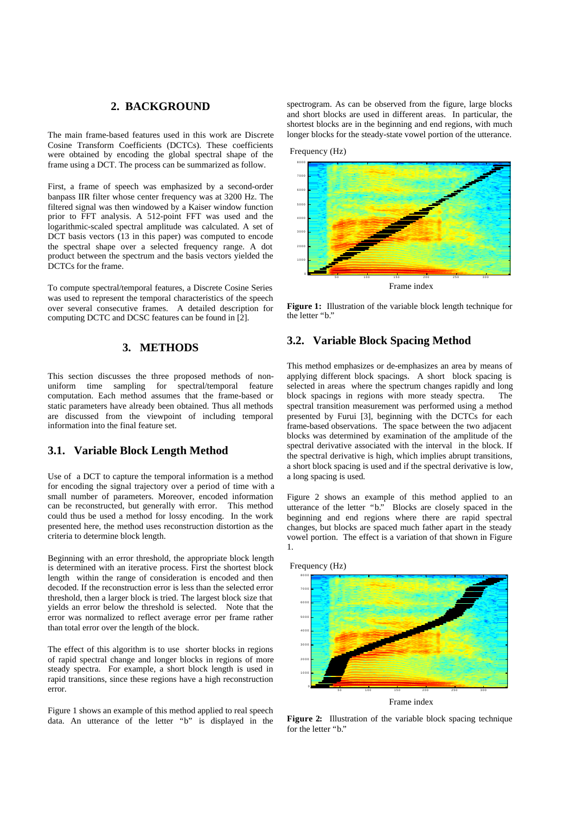### **2. BACKGROUND**

The main frame-based features used in this work are Discrete Cosine Transform Coefficients (DCTCs). These coefficients were obtained by encoding the global spectral shape of the frame using a DCT. The process can be summarized as follow.

First, a frame of speech was emphasized by a second-order banpass IIR filter whose center frequency was at 3200 Hz. The filtered signal was then windowed by a Kaiser window function prior to FFT analysis. A 512-point FFT was used and the logarithmic-scaled spectral amplitude was calculated. A set of DCT basis vectors (13 in this paper) was computed to encode the spectral shape over a selected frequency range. A dot product between the spectrum and the basis vectors yielded the DCTCs for the frame.

To compute spectral/temporal features, a Discrete Cosine Series was used to represent the temporal characteristics of the speech over several consecutive frames. A detailed description for computing DCTC and DCSC features can be found in [2].

### **3. METHODS**

This section discusses the three proposed methods of nonuniform time sampling for spectral/temporal feature computation. Each method assumes that the frame-based or static parameters have already been obtained. Thus all methods are discussed from the viewpoint of including temporal information into the final feature set.

### **3.1. Variable Block Length Method**

Use of a DCT to capture the temporal information is a method for encoding the signal trajectory over a period of time with a small number of parameters. Moreover, encoded information can be reconstructed, but generally with error. This method could thus be used a method for lossy encoding. In the work presented here, the method uses reconstruction distortion as the criteria to determine block length.

Beginning with an error threshold, the appropriate block length is determined with an iterative process. First the shortest block length within the range of consideration is encoded and then decoded. If the reconstruction error is less than the selected error threshold, then a larger block is tried. The largest block size that yields an error below the threshold is selected. Note that the error was normalized to reflect average error per frame rather than total error over the length of the block.

The effect of this algorithm is to use shorter blocks in regions of rapid spectral change and longer blocks in regions of more steady spectra. For example, a short block length is used in rapid transitions, since these regions have a high reconstruction error.

Figure 1 shows an example of this method applied to real speech data. An utterance of the letter "b" is displayed in the spectrogram. As can be observed from the figure, large blocks and short blocks are used in different areas. In particular, the shortest blocks are in the beginning and end regions, with much longer blocks for the steady-state vowel portion of the utterance.





**Figure 1:** Illustration of the variable block length technique for the letter "b."

#### **3.2. Variable Block Spacing Method**

This method emphasizes or de-emphasizes an area by means of applying different block spacings. A short block spacing is selected in areas where the spectrum changes rapidly and long block spacings in regions with more steady spectra. The spectral transition measurement was performed using a method presented by Furui [3], beginning with the DCTCs for each frame-based observations. The space between the two adjacent blocks was determined by examination of the amplitude of the spectral derivative associated with the interval in the block. If the spectral derivative is high, which implies abrupt transitions, a short block spacing is used and if the spectral derivative is low, a long spacing is used.

Figure 2 shows an example of this method applied to an utterance of the letter "b." Blocks are closely spaced in the beginning and end regions where there are rapid spectral changes, but blocks are spaced much father apart in the steady vowel portion. The effect is a variation of that shown in Figure 1.





Frame index

**Figure 2:** Illustration of the variable block spacing technique for the letter "b."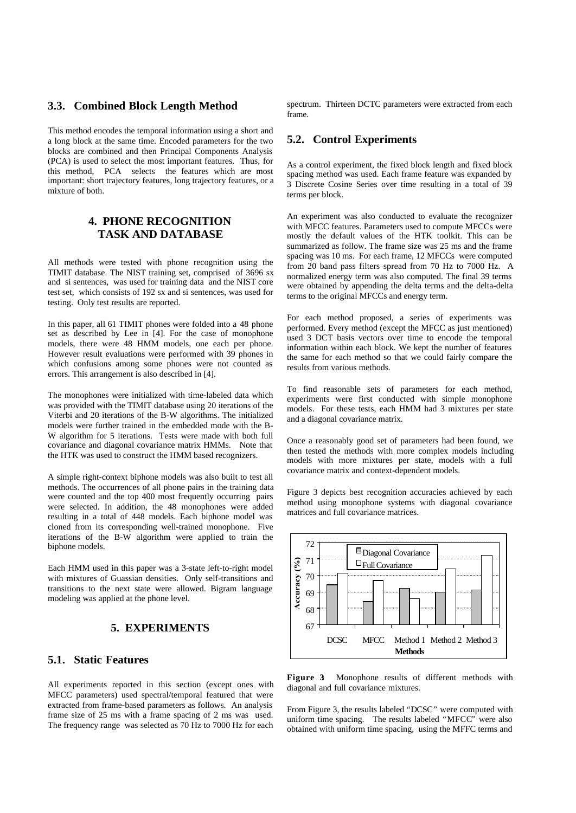### **3.3. Combined Block Length Method**

This method encodes the temporal information using a short and a long block at the same time. Encoded parameters for the two blocks are combined and then Principal Components Analysis (PCA) is used to select the most important features. Thus, for this method, PCA selects the features which are most important: short trajectory features, long trajectory features, or a mixture of both.

# **4. PHONE RECOGNITION TASK AND DATABASE**

All methods were tested with phone recognition using the TIMIT database. The NIST training set, comprised of 3696 sx and si sentences, was used for training data and the NIST core test set, which consists of 192 sx and si sentences, was used for testing. Only test results are reported.

In this paper, all 61 TIMIT phones were folded into a 48 phone set as described by Lee in [4]. For the case of monophone models, there were 48 HMM models, one each per phone. However result evaluations were performed with 39 phones in which confusions among some phones were not counted as errors. This arrangement is also described in [4].

The monophones were initialized with time-labeled data which was provided with the TIMIT database using 20 iterations of the Viterbi and 20 iterations of the B-W algorithms. The initialized models were further trained in the embedded mode with the B-W algorithm for 5 iterations. Tests were made with both full covariance and diagonal covariance matrix HMMs. Note that the HTK was used to construct the HMM based recognizers.

A simple right-context biphone models was also built to test all methods. The occurrences of all phone pairs in the training data were counted and the top 400 most frequently occurring pairs were selected. In addition, the 48 monophones were added resulting in a total of 448 models. Each biphone model was cloned from its corresponding well-trained monophone. Five iterations of the B-W algorithm were applied to train the biphone models.

Each HMM used in this paper was a 3-state left-to-right model with mixtures of Guassian densities. Only self-transitions and transitions to the next state were allowed. Bigram language modeling was applied at the phone level.

# **5. EXPERIMENTS**

# **5.1. Static Features**

All experiments reported in this section (except ones with MFCC parameters) used spectral/temporal featured that were extracted from frame-based parameters as follows. An analysis frame size of 25 ms with a frame spacing of 2 ms was used. The frequency range was selected as 70 Hz to 7000 Hz for each spectrum. Thirteen DCTC parameters were extracted from each frame.

# **5.2. Control Experiments**

As a control experiment, the fixed block length and fixed block spacing method was used. Each frame feature was expanded by 3 Discrete Cosine Series over time resulting in a total of 39 terms per block.

An experiment was also conducted to evaluate the recognizer with MFCC features. Parameters used to compute MFCCs were mostly the default values of the HTK toolkit. This can be summarized as follow. The frame size was 25 ms and the frame spacing was 10 ms. For each frame, 12 MFCCs were computed from 20 band pass filters spread from 70 Hz to 7000 Hz. A normalized energy term was also computed. The final 39 terms were obtained by appending the delta terms and the delta-delta terms to the original MFCCs and energy term.

For each method proposed, a series of experiments was performed. Every method (except the MFCC as just mentioned) used 3 DCT basis vectors over time to encode the temporal information within each block. We kept the number of features the same for each method so that we could fairly compare the results from various methods.

To find reasonable sets of parameters for each method, experiments were first conducted with simple monophone models. For these tests, each HMM had 3 mixtures per state and a diagonal covariance matrix.

Once a reasonably good set of parameters had been found, we then tested the methods with more complex models including models with more mixtures per state, models with a full covariance matrix and context-dependent models.

Figure 3 depicts best recognition accuracies achieved by each method using monophone systems with diagonal covariance matrices and full covariance matrices.



Figure 3: Monophone results of different methods with diagonal and full covariance mixtures.

From Figure 3, the results labeled "DCSC" were computed with uniform time spacing. The results labeled "MFCC" were also obtained with uniform time spacing, using the MFFC terms and